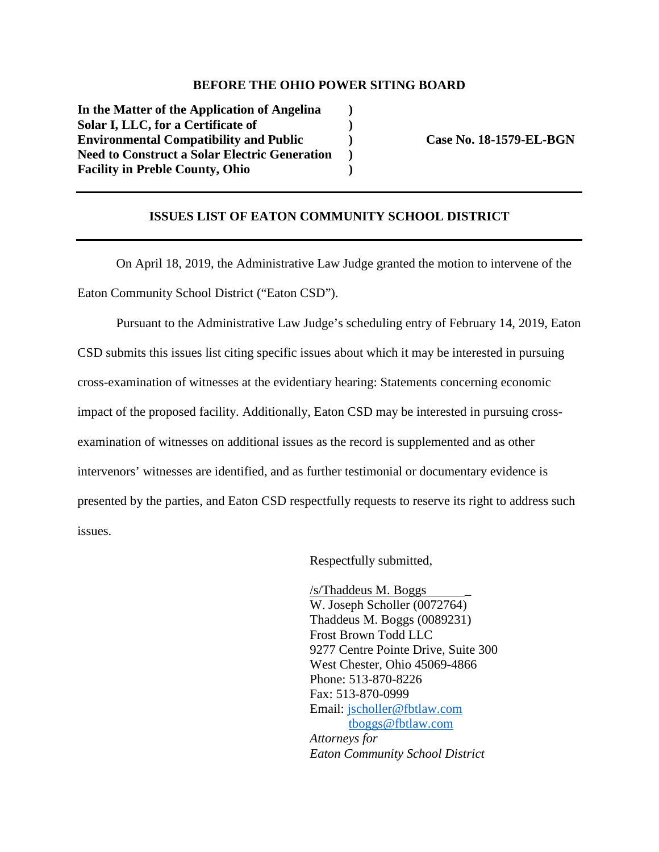## **BEFORE THE OHIO POWER SITING BOARD**

**In the Matter of the Application of Angelina ) Solar I, LLC, for a Certificate of )**  Environmental Compatibility and Public (a) Case No. 18-1579-EL-BGN **Need to Construct a Solar Electric Generation ) Facility in Preble County, Ohio )** 

## **ISSUES LIST OF EATON COMMUNITY SCHOOL DISTRICT**

On April 18, 2019, the Administrative Law Judge granted the motion to intervene of the Eaton Community School District ("Eaton CSD").

Pursuant to the Administrative Law Judge's scheduling entry of February 14, 2019, Eaton CSD submits this issues list citing specific issues about which it may be interested in pursuing cross-examination of witnesses at the evidentiary hearing: Statements concerning economic impact of the proposed facility. Additionally, Eaton CSD may be interested in pursuing crossexamination of witnesses on additional issues as the record is supplemented and as other intervenors' witnesses are identified, and as further testimonial or documentary evidence is presented by the parties, and Eaton CSD respectfully requests to reserve its right to address such issues.

Respectfully submitted,

 $/s$ Thaddeus M. Boggs W. Joseph Scholler (0072764) Thaddeus M. Boggs (0089231) Frost Brown Todd LLC 9277 Centre Pointe Drive, Suite 300 West Chester, Ohio 45069-4866 Phone: 513-870-8226 Fax: 513-870-0999 Email: jscholler@fbtlaw.com tboggs@fbtlaw.com *Attorneys for Eaton Community School District*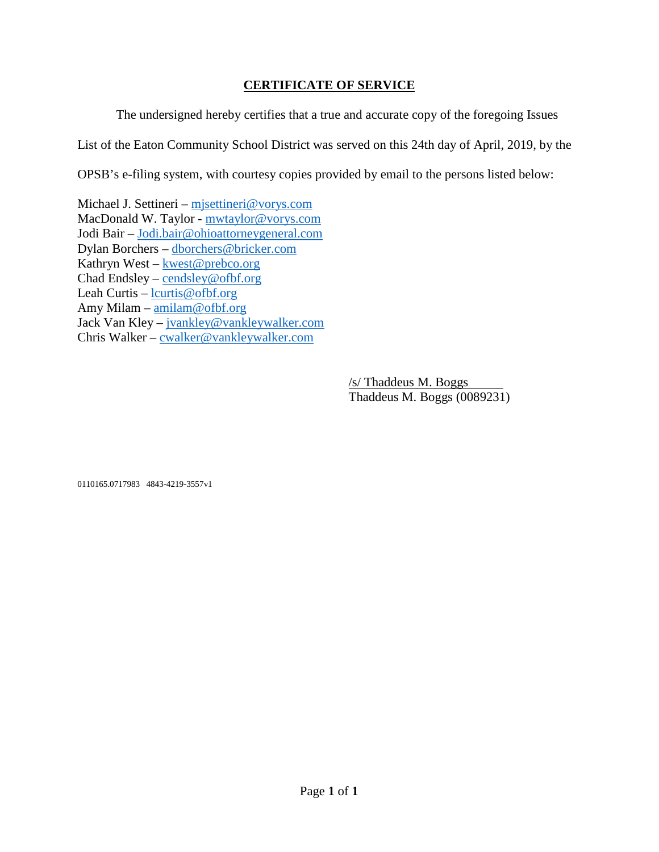## **CERTIFICATE OF SERVICE**

The undersigned hereby certifies that a true and accurate copy of the foregoing Issues List of the Eaton Community School District was served on this 24th day of April, 2019, by the OPSB's e-filing system, with courtesy copies provided by email to the persons listed below:

Michael J. Settineri – mjsettineri@vorys.com MacDonald W. Taylor - mwtaylor@vorys.com Jodi Bair – Jodi.bair@ohioattorneygeneral.com Dylan Borchers – dborchers@bricker.com Kathryn West – kwest@prebco.org Chad Endsley – cendsley@ofbf.org Leah Curtis – lcurtis@ofbf.org Amy Milam – amilam@ofbf.org Jack Van Kley – jvankley@vankleywalker.com Chris Walker – cwalker@vankleywalker.com

> /s/ Thaddeus M. Boggs Thaddeus M. Boggs (0089231)

0110165.0717983 4843-4219-3557v1